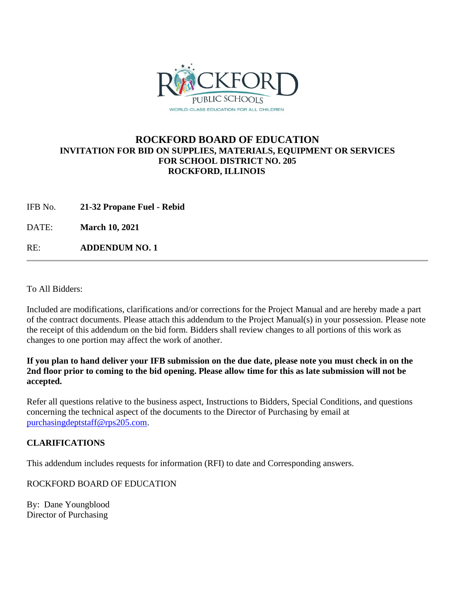

## **ROCKFORD BOARD OF EDUCATION INVITATION FOR BID ON SUPPLIES, MATERIALS, EQUIPMENT OR SERVICES FOR SCHOOL DISTRICT NO. 205 ROCKFORD, ILLINOIS**

IFB No. **21-32 Propane Fuel - Rebid**

DATE: **March 10, 2021**

RE: **ADDENDUM NO. 1**

To All Bidders:

Included are modifications, clarifications and/or corrections for the Project Manual and are hereby made a part of the contract documents. Please attach this addendum to the Project Manual(s) in your possession. Please note the receipt of this addendum on the bid form. Bidders shall review changes to all portions of this work as changes to one portion may affect the work of another.

**If you plan to hand deliver your IFB submission on the due date, please note you must check in on the 2nd floor prior to coming to the bid opening. Please allow time for this as late submission will not be accepted.**

Refer all questions relative to the business aspect, Instructions to Bidders, Special Conditions, and questions concerning the technical aspect of the documents to the Director of Purchasing by email at [purchasingdeptstaff@rps205.com.](mailto:purchasingdeptstaff@rps205.com)

## **CLARIFICATIONS**

This addendum includes requests for information (RFI) to date and Corresponding answers.

ROCKFORD BOARD OF EDUCATION

By: Dane Youngblood Director of Purchasing